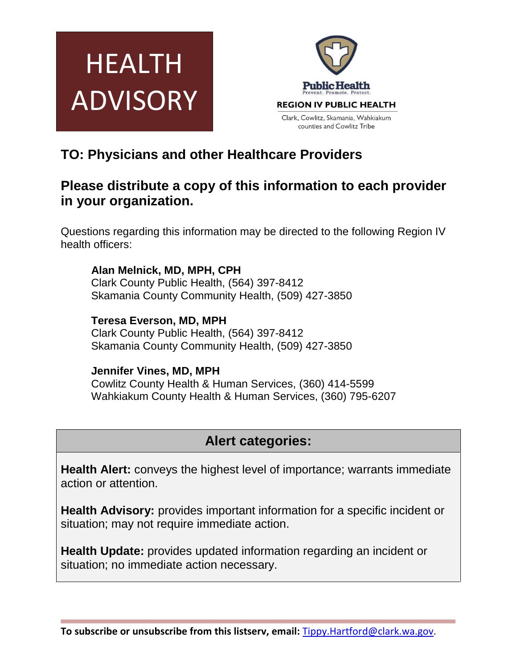



## **TO: Physicians and other Healthcare Providers**

## **Please distribute a copy of this information to each provider in your organization.**

Questions regarding this information may be directed to the following Region IV health officers:

**Alan Melnick, MD, MPH, CPH** Clark County Public Health, (564) 397-8412 Skamania County Community Health, (509) 427-3850

**Teresa Everson, MD, MPH** Clark County Public Health, (564) 397-8412 Skamania County Community Health, (509) 427-3850

### **Jennifer Vines, MD, MPH**

Cowlitz County Health & Human Services, (360) 414-5599 Wahkiakum County Health & Human Services, (360) 795-6207

# **Alert categories:**

**Health Alert:** conveys the highest level of importance; warrants immediate action or attention.

**Health Advisory:** provides important information for a specific incident or situation; may not require immediate action.

**Health Update:** provides updated information regarding an incident or situation; no immediate action necessary.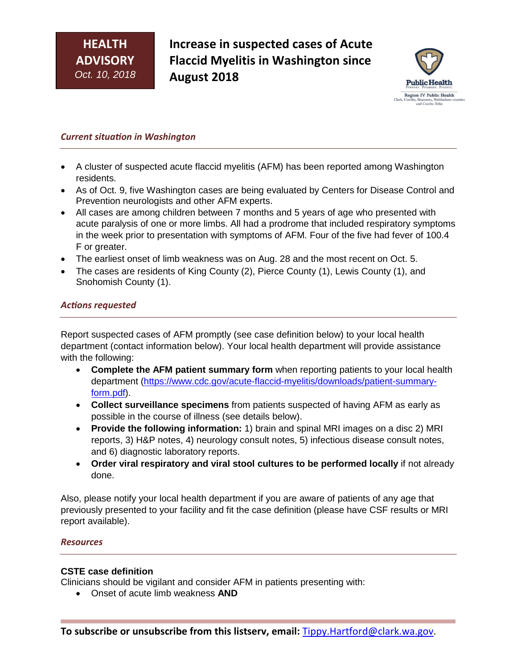**Increase in suspected cases of Acute Flaccid Myelitis in Washington since August 2018**



#### *Current situation in Washington*

- A cluster of suspected acute flaccid myelitis (AFM) has been reported among Washington residents.
- As of Oct. 9, five Washington cases are being evaluated by Centers for Disease Control and Prevention neurologists and other AFM experts.
- All cases are among children between 7 months and 5 years of age who presented with acute paralysis of one or more limbs. All had a prodrome that included respiratory symptoms in the week prior to presentation with symptoms of AFM. Four of the five had fever of 100.4 F or greater.
- The earliest onset of limb weakness was on Aug. 28 and the most recent on Oct. 5.
- The cases are residents of King County (2), Pierce County (1), Lewis County (1), and Snohomish County (1).

#### *Actions requested*

Report suspected cases of AFM promptly (see case definition below) to your local health department (contact information below). Your local health department will provide assistance with the following:

- **Complete the AFM patient summary form** when reporting patients to your local health department [\(https://www.cdc.gov/acute-flaccid-myelitis/downloads/patient-summary](https://www.cdc.gov/acute-flaccid-myelitis/downloads/patient-summary-form.pdf)[form.pdf\)](https://www.cdc.gov/acute-flaccid-myelitis/downloads/patient-summary-form.pdf).
- **Collect surveillance specimens** from patients suspected of having AFM as early as possible in the course of illness (see details below).
- **Provide the following information:** 1) brain and spinal MRI images on a disc 2) MRI reports, 3) H&P notes, 4) neurology consult notes, 5) infectious disease consult notes, and 6) diagnostic laboratory reports.
- **Order viral respiratory and viral stool cultures to be performed locally** if not already done.

Also, please notify your local health department if you are aware of patients of any age that previously presented to your facility and fit the case definition (please have CSF results or MRI report available).

#### *Resources*

#### **CSTE case definition**

Clinicians should be vigilant and consider AFM in patients presenting with:

• Onset of acute limb weakness **AND**